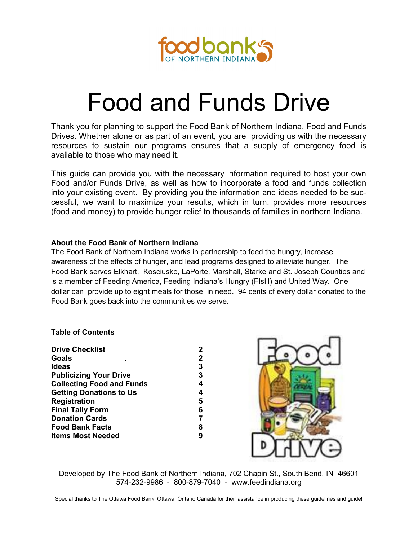

# Food and Funds Drive

Thank you for planning to support the Food Bank of Northern Indiana, Food and Funds Drives. Whether alone or as part of an event, you are providing us with the necessary resources to sustain our programs ensures that a supply of emergency food is available to those who may need it.

This guide can provide you with the necessary information required to host your own Food and/or Funds Drive, as well as how to incorporate a food and funds collection into your existing event. By providing you the information and ideas needed to be successful, we want to maximize your results, which in turn, provides more resources (food and money) to provide hunger relief to thousands of families in northern Indiana.

## **About the Food Bank of Northern Indiana**

The Food Bank of Northern Indiana works in partnership to feed the hungry, increase awareness of the effects of hunger, and lead programs designed to alleviate hunger. The Food Bank serves Elkhart, Kosciusko, LaPorte, Marshall, Starke and St. Joseph Counties and is a member of Feeding America, Feeding Indiana's Hungry (FIsH) and United Way. One dollar can provide up to eight meals for those in need. 94 cents of every dollar donated to the Food Bank goes back into the communities we serve.

## **Table of Contents**

| <b>Drive Checklist</b>           | 2 |
|----------------------------------|---|
| <b>Goals</b>                     | 2 |
| <b>Ideas</b>                     | 3 |
| <b>Publicizing Your Drive</b>    | 3 |
| <b>Collecting Food and Funds</b> | 4 |
| <b>Getting Donations to Us</b>   | 4 |
| <b>Registration</b>              | 5 |
| <b>Final Tally Form</b>          | 6 |
| <b>Donation Cards</b>            | 7 |
| <b>Food Bank Facts</b>           | 8 |
| <b>Items Most Needed</b>         | 9 |
|                                  |   |



Developed by The Food Bank of Northern Indiana, 702 Chapin St., South Bend, IN 46601 574-232-9986 - 800-879-7040 - www.feedindiana.org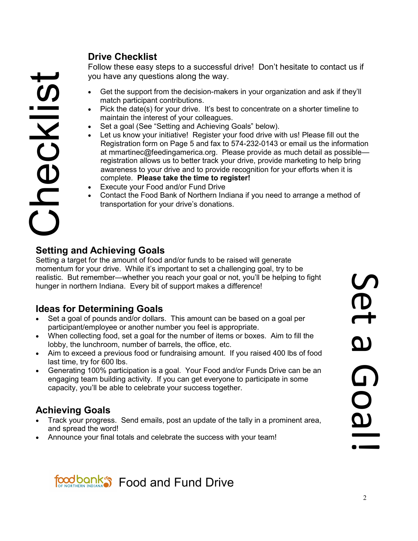# Checklist

# **Drive Checklist**

Follow these easy steps to a successful drive! Don't hesitate to contact us if you have any questions along the way.

- Get the support from the decision-makers in your organization and ask if they'll match participant contributions.
- Pick the date(s) for your drive. It's best to concentrate on a shorter timeline to maintain the interest of your colleagues.
- Set a goal (See "Setting and Achieving Goals" below).
- Let us know your initiative! Register your food drive with us! Please fill out the Registration form on Page 5 and fax to 574-232-0143 or email us the information at mmartinec@feedingamerica.org. Please provide as much detail as possible registration allows us to better track your drive, provide marketing to help bring awareness to your drive and to provide recognition for your efforts when it is complete. **Please take the time to register!**
- Execute your Food and/or Fund Drive
- Contact the Food Bank of Northern Indiana if you need to arrange a method of transportation for your drive's donations.

# **Setting and Achieving Goals**

Setting a target for the amount of food and/or funds to be raised will generate momentum for your drive. While it's important to set a challenging goal, try to be realistic. But remember—whether you reach your goal or not, you'll be helping to fight hunger in northern Indiana. Every bit of support makes a difference!

# **Ideas for Determining Goals**

- Set a goal of pounds and/or dollars. This amount can be based on a goal per participant/employee or another number you feel is appropriate.
- When collecting food, set a goal for the number of items or boxes. Aim to fill the lobby, the lunchroom, number of barrels, the office, etc.
- Aim to exceed a previous food or fundraising amount. If you raised 400 lbs of food last time, try for 600 lbs.
- Generating 100% participation is a goal. Your Food and/or Funds Drive can be an engaging team building activity. If you can get everyone to participate in some capacity, you'll be able to celebrate your success together.

# **Achieving Goals**

- Track your progress. Send emails, post an update of the tally in a prominent area, and spread the word!
- Announce your final totals and celebrate the success with your team!

**SCL** Set a Goal! വ **QOa** 

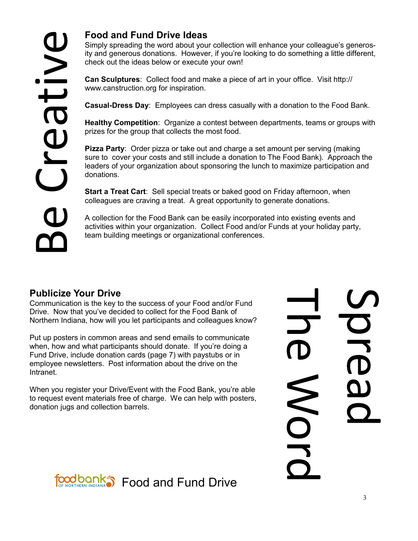Simply spreading the word about your collection will enhance your colleague's generosity and generous donations. However, if you're looking to do something a little different, check out the ideas below or execute your own!

**Can Sculptures**: Collect food and make a piece of art in your office. Visit http:// www.canstruction.org for inspiration.

**Casual-Dress Day**: Employees can dress casually with a donation to the Food Bank.

**Healthy Competition**: Organize a contest between departments, teams or groups with prizes for the group that collects the most food.

**Pizza Party**: Order pizza or take out and charge a set amount per serving (making sure to cover your costs and still include a donation to The Food Bank). Approach the leaders of your organization about sponsoring the lunch to maximize participation and donations.

**Start a Treat Cart**: Sell special treats or baked good on Friday afternoon, when colleagues are craving a treat. A great opportunity to generate donations.

A collection for the Food Bank can be easily incorporated into existing events and activities within your organization. Collect Food and/or Funds at your holiday party, team building meetings or organizational conferences.

# **Publicize Your Drive**

Communication is the key to the success of your Food and/or Fund Drive. Now that you've decided to collect for the Food Bank of Northern Indiana, how will you let participants and colleagues know?

Put up posters in common areas and send emails to communicate when, how and what participants should donate. If you're doing a Fund Drive, include donation cards (page 7) with paystubs or in employee newsletters. Post information about the drive on the Intranet.

When you register your Drive/Event with the Food Bank, you're able to request event materials free of charge. We can help with posters, donation jugs and collection barrels.

**The Word**  $\overline{\mathbf{b}}$ MOLC

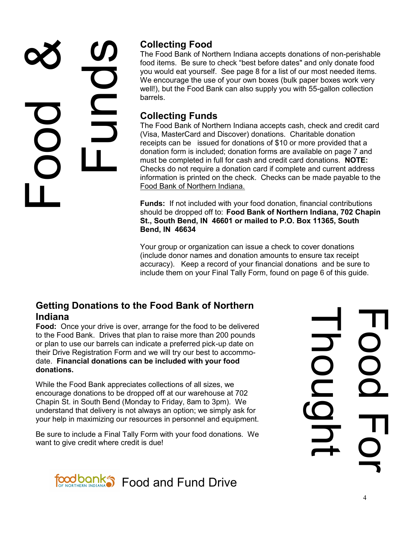# Food & Spunds

# **Collecting Food**

The Food Bank of Northern Indiana accepts donations of non-perishable food items. Be sure to check "best before dates" and only donate food you would eat yourself. See page 8 for a list of our most needed items. We encourage the use of your own boxes (bulk paper boxes work very well!), but the Food Bank can also supply you with 55-gallon collection barrels.

# **Collecting Funds**

The Food Bank of Northern Indiana accepts cash, check and credit card (Visa, MasterCard and Discover) donations. Charitable donation receipts can be issued for donations of \$10 or more provided that a donation form is included; donation forms are available on page 7 and must be completed in full for cash and credit card donations. **NOTE:**  Checks do not require a donation card if complete and current address information is printed on the check. Checks can be made payable to the Food Bank of Northern Indiana.

**Funds:** If not included with your food donation, financial contributions should be dropped off to: **Food Bank of Northern Indiana, 702 Chapin St., South Bend, IN 46601 or mailed to P.O. Box 11365, South Bend, IN 46634**

Your group or organization can issue a check to cover donations (include donor names and donation amounts to ensure tax receipt accuracy). Keep a record of your financial donations and be sure to include them on your Final Tally Form, found on page 6 of this guide.

# **Getting Donations to the Food Bank of Northern Indiana**

**Food:** Once your drive is over, arrange for the food to be delivered to the Food Bank. Drives that plan to raise more than 200 pounds or plan to use our barrels can indicate a preferred pick-up date on their Drive Registration Form and we will try our best to accommodate. **Financial donations can be included with your food donations.**

While the Food Bank appreciates collections of all sizes, we encourage donations to be dropped off at our warehouse at 702 Chapin St. in South Bend (Monday to Friday, 8am to 3pm). We understand that delivery is not always an option; we simply ask for your help in maximizing our resources in personnel and equipment.

Be sure to include a Final Tally Form with your food donations. We want to give credit where credit is due!



**Thought** Food For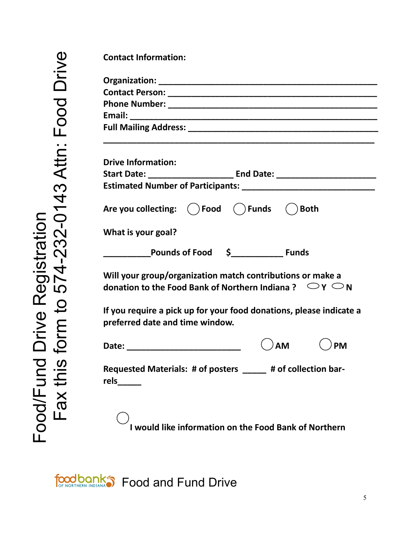| <b>Drive Information:</b>                                                                                                           |  |
|-------------------------------------------------------------------------------------------------------------------------------------|--|
|                                                                                                                                     |  |
|                                                                                                                                     |  |
| Are you collecting: ( ) Food ( ) Funds ( ) Both                                                                                     |  |
| What is your goal?                                                                                                                  |  |
| Pounds of Food \$ Funds                                                                                                             |  |
| Will your group/organization match contributions or make a<br>donation to the Food Bank of Northern Indiana ? $\Box$ Y $\bigcirc$ N |  |
| If you require a pick up for your food donations, please indicate a                                                                 |  |
| preferred date and time window.                                                                                                     |  |
|                                                                                                                                     |  |
|                                                                                                                                     |  |

foodbank<sup>®</sup> Food and Fund Drive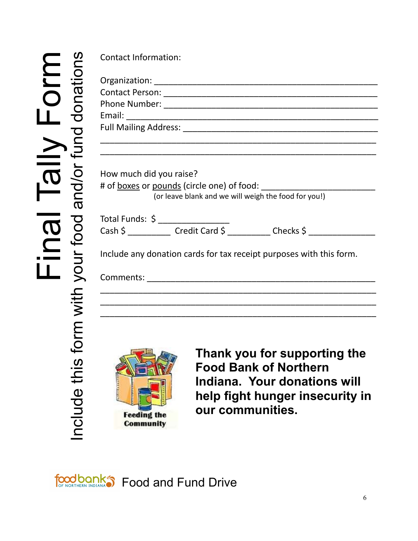# Final Tally Form<br>Include this form with your food and/or fund donations Include this form with your food and/or fund donations

| How much did you raise?                                             | (or leave blank and we will weigh the food for you!) |
|---------------------------------------------------------------------|------------------------------------------------------|
| Total Funds: \$ __________________                                  |                                                      |
|                                                                     |                                                      |
| Include any donation cards for tax receipt purposes with this form. |                                                      |
|                                                                     |                                                      |
|                                                                     |                                                      |
|                                                                     |                                                      |



**Thank you for supporting the Food Bank of Northern Indiana. Your donations will help fight hunger insecurity in our communities.**

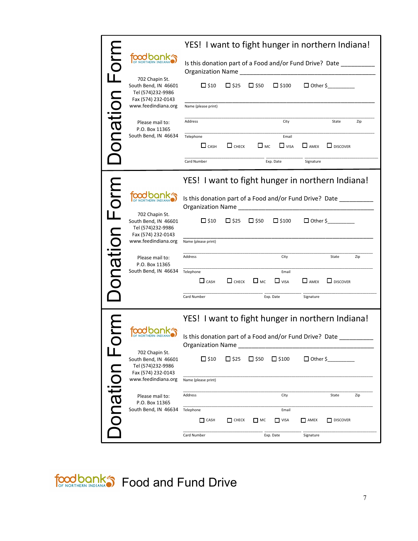|              |                                                                                   | YES! I want to fight hunger in northern Indiana!                                    |                |              |                      |                   |                                                  |  |
|--------------|-----------------------------------------------------------------------------------|-------------------------------------------------------------------------------------|----------------|--------------|----------------------|-------------------|--------------------------------------------------|--|
|              | tood bo                                                                           | Is this donation part of a Food and/or Fund Drive? Date<br><b>Organization Name</b> |                |              |                      |                   |                                                  |  |
| onation Form | 702 Chapin St.<br>South Bend, IN 46601<br>Tel (574)232-9986                       | $\Box$ \$10                                                                         | $\Box$ \$25    | $\Box$ \$50  | $\Box$ \$100         | $\Box$ Other \$   |                                                  |  |
|              | Fax (574) 232-0143<br>www.feedindiana.org                                         | Name (please print)                                                                 |                |              |                      |                   |                                                  |  |
|              | Please mail to:<br>P.O. Box 11365                                                 | Address                                                                             |                |              | City                 |                   | State<br>Zip                                     |  |
|              | South Bend, IN 46634                                                              | Telephone<br>$\Box$ CASH                                                            | $\Box$ CHECK   | $\Box$ MC    | Email<br>$\Box$ VISA | $\Box$ AMEX       | $\Box$ DISCOVER                                  |  |
|              |                                                                                   | Card Number                                                                         |                |              | Exp. Date            | Signature         |                                                  |  |
|              |                                                                                   |                                                                                     |                |              |                      |                   | YES! I want to fight hunger in northern Indiana! |  |
| onation Form | food ba<br>OF NORTHERN IND                                                        | Is this donation part of a Food and/or Fund Drive? Date<br><b>Organization Name</b> |                |              |                      |                   |                                                  |  |
|              | 702 Chapin St.<br>South Bend, IN 46601<br>Tel (574)232-9986<br>Fax (574) 232-0143 | $\square$ \$10                                                                      | $\Box$ \$25    | $\Box$ \$50  | $\Box$ \$100         |                   | $\Box$ Other \$                                  |  |
|              | www.feedindiana.org                                                               | Name (please print)                                                                 |                |              |                      |                   |                                                  |  |
|              | Please mail to:<br>P.O. Box 11365                                                 | Address                                                                             |                |              | City                 |                   | State<br>Zip                                     |  |
|              | South Bend, IN 46634                                                              | Telephone<br>$\Box$ CASH                                                            | $\Box$ CHECK   | $\square$ MC | Email<br>$\Box$ VISA | $\Box$ AMEX       | $\Box$ DISCOVER                                  |  |
|              |                                                                                   | Card Number                                                                         |                |              | Exp. Date            | Signature         |                                                  |  |
|              |                                                                                   |                                                                                     |                |              |                      |                   | YES! I want to fight hunger in northern Indiana! |  |
|              |                                                                                   | Is this donation part of a Food and/or Fund Drive? Date<br><b>Organization Name</b> |                |              |                      |                   |                                                  |  |
|              | 702 Chapin St.<br>South Bend, IN 46601<br>Tel (574)232-9986<br>Fax (574) 232-0143 | $\square$ \$10                                                                      | $\square$ \$25 | $\Box$ \$50  | $\square$ \$100      | $\Box$ Other \$   |                                                  |  |
|              | www.feedindiana.org                                                               | Name (please print)                                                                 |                |              |                      |                   |                                                  |  |
|              | Please mail to:<br>P.O. Box 11365                                                 | Address                                                                             |                |              | City                 |                   | State<br>Zip                                     |  |
| Donation     | South Bend, IN 46634                                                              | Telephone<br>CASH                                                                   | $\Box$ CHECK   | $\Box$ MC    | Email<br>$\Box$ VISA | AMEX <sub>1</sub> | DISCOVER                                         |  |
|              |                                                                                   | Card Number                                                                         |                |              | Exp. Date            | Signature         |                                                  |  |

food bank Strond and Fund Drive